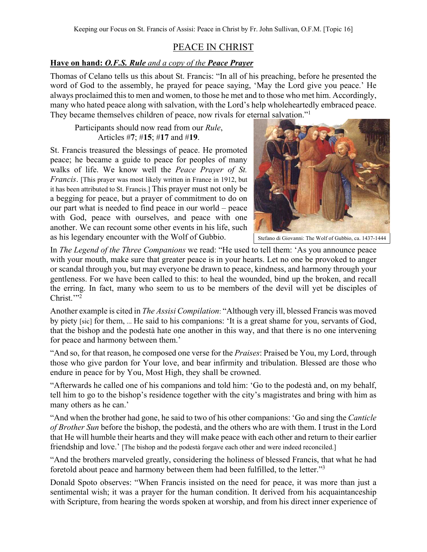## PEACE IN CHRIST

## **Have on hand:** *O.F.S. Rule and a copy of the Peace Prayer*

Thomas of Celano tells us this about St. Francis: "In all of his preaching, before he presented the word of God to the assembly, he prayed for peace saying, 'May the Lord give you peace.' He always proclaimed this to men and women, to those he met and to those who met him. Accordingly, many who hated peace along with salvation, with the Lord's help wholeheartedly embraced peace. They became themselves children of peace, now rivals for eternal salvation."<sup>1</sup>

Participants should now read from our *Rule*, Articles #**7**; #**15**; #**17** and #**19**.

St. Francis treasured the blessings of peace. He promoted peace; he became a guide to peace for peoples of many walks of life. We know well the *Peace Prayer of St. Francis*. [This prayer was most likely written in France in 1912, but it has been attributed to St. Francis.] This prayer must not only be a begging for peace, but a prayer of commitment to do on our part what is needed to find peace in our world – peace with God, peace with ourselves, and peace with one another. We can recount some other events in his life, such as his legendary encounter with the Wolf of Gubbio.



Stefano di Giovanni: The Wolf of Gubbio, ca. 1437-1444

In *The Legend of the Three Companions* we read: "He used to tell them: 'As you announce peace with your mouth, make sure that greater peace is in your hearts. Let no one be provoked to anger or scandal through you, but may everyone be drawn to peace, kindness, and harmony through your gentleness. For we have been called to this: to heal the wounded, bind up the broken, and recall the erring. In fact, many who seem to us to be members of the devil will yet be disciples of Christ." $\frac{1}{2}$ 

Another example is cited in *The Assisi Compilation*: "Although very ill, blessed Francis was moved by piety [sic] for them, ... He said to his companions: 'It is a great shame for you, servants of God, that the bishop and the podestà hate one another in this way, and that there is no one intervening for peace and harmony between them.'

"And so, for that reason, he composed one verse for the *Praises*: Praised be You, my Lord, through those who give pardon for Your love, and bear infirmity and tribulation. Blessed are those who endure in peace for by You, Most High, they shall be crowned.

"Afterwards he called one of his companions and told him: 'Go to the podestà and, on my behalf, tell him to go to the bishop's residence together with the city's magistrates and bring with him as many others as he can.'

"And when the brother had gone, he said to two of his other companions: 'Go and sing the *Canticle of Brother Sun* before the bishop, the podestà, and the others who are with them. I trust in the Lord that He will humble their hearts and they will make peace with each other and return to their earlier friendship and love.' [The bishop and the podestà forgave each other and were indeed reconciled.]

"And the brothers marveled greatly, considering the holiness of blessed Francis, that what he had foretold about peace and harmony between them had been fulfilled, to the letter."3

Donald Spoto observes: "When Francis insisted on the need for peace, it was more than just a sentimental wish; it was a prayer for the human condition. It derived from his acquaintanceship with Scripture, from hearing the words spoken at worship, and from his direct inner experience of